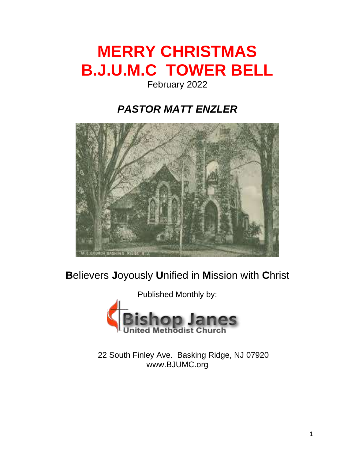# **MERRY CHRISTMAS B.J.U.M.C TOWER BELL**

## February 2022

## *PASTOR MATT ENZLER*



## **B**elievers **J**oyously **U**nified in **M**ission with **C**hrist



22 South Finley Ave. Basking Ridge, NJ 07920 www.BJUMC.org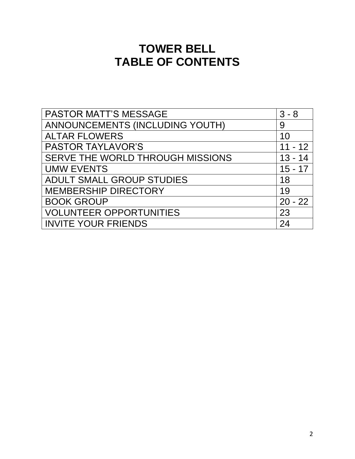## **TOWER BELL TABLE OF CONTENTS**

| PASTOR MATT'S MESSAGE            | $3 - 8$   |
|----------------------------------|-----------|
| ANNOUNCEMENTS (INCLUDING YOUTH)  | 9         |
| <b>ALTAR FLOWERS</b>             | 10        |
| <b>PASTOR TAYLAVOR'S</b>         | $11 - 12$ |
| SERVE THE WORLD THROUGH MISSIONS | $13 - 14$ |
| <b>UMW EVENTS</b>                | $15 - 17$ |
| <b>ADULT SMALL GROUP STUDIES</b> | 18        |
| <b>MEMBERSHIP DIRECTORY</b>      | 19        |
| <b>BOOK GROUP</b>                | $20 - 22$ |
| <b>VOLUNTEER OPPORTUNITIES</b>   | 23        |
| <b>INVITE YOUR FRIENDS</b>       | 24        |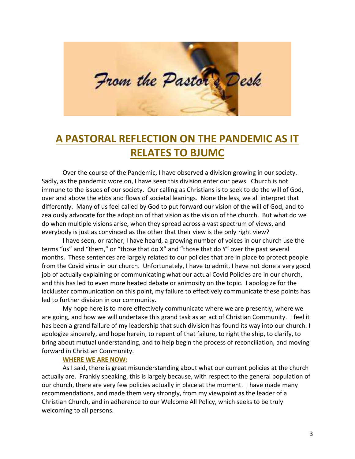

## **A PASTORAL REFLECTION ON THE PANDEMIC AS IT RELATES TO BJUMC**

Over the course of the Pandemic, I have observed a division growing in our society. Sadly, as the pandemic wore on, I have seen this division enter our pews. Church is not immune to the issues of our society. Our calling as Christians is to seek to do the will of God, over and above the ebbs and flows of societal leanings. None the less, we all interpret that differently. Many of us feel called by God to put forward our vision of the will of God, and to zealously advocate for the adoption of that vision as the vision of the church. But what do we do when multiple visions arise, when they spread across a vast spectrum of views, and everybody is just as convinced as the other that their view is the only right view?

I have seen, or rather, I have heard, a growing number of voices in our church use the terms "us" and "them," or "those that do X" and "those that do Y" over the past several months. These sentences are largely related to our policies that are in place to protect people from the Covid virus in our church. Unfortunately, I have to admit, I have not done a very good job of actually explaining or communicating what our actual Covid Policies are in our church, and this has led to even more heated debate or animosity on the topic. I apologize for the lackluster communication on this point, my failure to effectively communicate these points has led to further division in our community.

My hope here is to more effectively communicate where we are presently, where we are going, and how we will undertake this grand task as an act of Christian Community. I feel it has been a grand failure of my leadership that such division has found its way into our church. I apologize sincerely, and hope herein, to repent of that failure, to right the ship, to clarify, to bring about mutual understanding, and to help begin the process of reconciliation, and moving forward in Christian Community.

#### **WHERE WE ARE NOW:**

As I said, there is great misunderstanding about what our current policies at the church actually are. Frankly speaking, this is largely because, with respect to the general population of our church, there are very few policies actually in place at the moment. I have made many recommendations, and made them very strongly, from my viewpoint as the leader of a Christian Church, and in adherence to our Welcome All Policy, which seeks to be truly welcoming to all persons.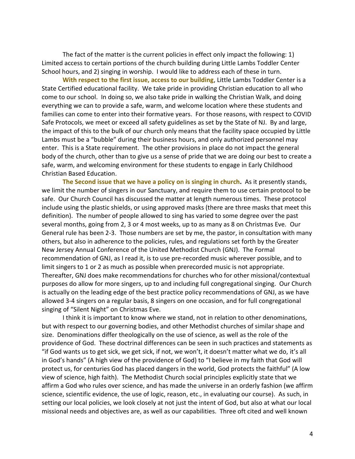The fact of the matter is the current policies in effect only impact the following: 1) Limited access to certain portions of the church building during Little Lambs Toddler Center School hours, and 2) singing in worship. I would like to address each of these in turn.

**With respect to the first issue, access to our building**, Little Lambs Toddler Center is a State Certified educational facility. We take pride in providing Christian education to all who come to our school. In doing so, we also take pride in walking the Christian Walk, and doing everything we can to provide a safe, warm, and welcome location where these students and families can come to enter into their formative years. For those reasons, with respect to COVID Safe Protocols, we meet or exceed all safety guidelines as set by the State of NJ. By and large, the impact of this to the bulk of our church only means that the facility space occupied by Little Lambs must be a "bubble" during their business hours, and only authorized personnel may enter. This is a State requirement. The other provisions in place do not impact the general body of the church, other than to give us a sense of pride that we are doing our best to create a safe, warm, and welcoming environment for these students to engage in Early Childhood Christian Based Education.

**The Second issue that we have a policy on is singing in church.** As it presently stands, we limit the number of singers in our Sanctuary, and require them to use certain protocol to be safe. Our Church Council has discussed the matter at length numerous times. These protocol include using the plastic shields, or using approved masks (there are three masks that meet this definition). The number of people allowed to sing has varied to some degree over the past several months, going from 2, 3 or 4 most weeks, up to as many as 8 on Christmas Eve. Our General rule has been 2-3. Those numbers are set by me, the pastor, in consultation with many others, but also in adherence to the policies, rules, and regulations set forth by the Greater New Jersey Annual Conference of the United Methodist Church (GNJ). The Formal recommendation of GNJ, as I read it, is to use pre-recorded music wherever possible, and to limit singers to 1 or 2 as much as possible when prerecorded music is not appropriate. Thereafter, GNJ does make recommendations for churches who for other missional/contextual purposes do allow for more singers, up to and including full congregational singing. Our Church is actually on the leading edge of the best practice policy recommendations of GNJ, as we have allowed 3-4 singers on a regular basis, 8 singers on one occasion, and for full congregational singing of "Silent Night" on Christmas Eve.

I think it is important to know where we stand, not in relation to other denominations, but with respect to our governing bodies, and other Methodist churches of similar shape and size. Denominations differ theologically on the use of science, as well as the role of the providence of God. These doctrinal differences can be seen in such practices and statements as "if God wants us to get sick, we get sick, if not, we won't, it doesn't matter what we do, it's all in God's hands" (A high view of the providence of God) to "I believe in my faith that God will protect us, for centuries God has placed dangers in the world, God protects the faithful" (A low view of science, high faith). The Methodist Church social principles explicitly state that we affirm a God who rules over science, and has made the universe in an orderly fashion (we affirm science, scientific evidence, the use of logic, reason, etc., in evaluating our course). As such, in setting our local policies, we look closely at not just the intent of God, but also at what our local missional needs and objectives are, as well as our capabilities. Three oft cited and well known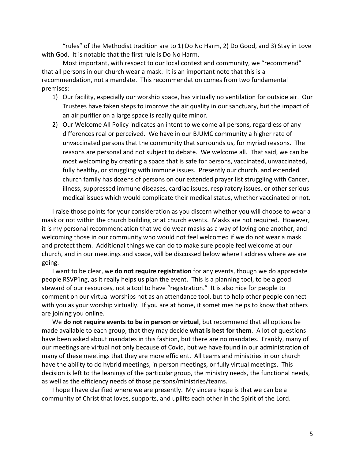"rules" of the Methodist tradition are to 1) Do No Harm, 2) Do Good, and 3) Stay in Love with God. It is notable that the first rule is Do No Harm.

Most important, with respect to our local context and community, we "recommend" that all persons in our church wear a mask. It is an important note that this is a recommendation, not a mandate. This recommendation comes from two fundamental premises:

- 1) Our facility, especially our worship space, has virtually no ventilation for outside air. Our Trustees have taken steps to improve the air quality in our sanctuary, but the impact of an air purifier on a large space is really quite minor.
- 2) Our Welcome All Policy indicates an intent to welcome all persons, regardless of any differences real or perceived. We have in our BJUMC community a higher rate of unvaccinated persons that the community that surrounds us, for myriad reasons. The reasons are personal and not subject to debate. We welcome all. That said, we can be most welcoming by creating a space that is safe for persons, vaccinated, unvaccinated, fully healthy, or struggling with immune issues. Presently our church, and extended church family has dozens of persons on our extended prayer list struggling with Cancer, illness, suppressed immune diseases, cardiac issues, respiratory issues, or other serious medical issues which would complicate their medical status, whether vaccinated or not.

I raise those points for your consideration as you discern whether you will choose to wear a mask or not within the church building or at church events. Masks are not required. However, it is my personal recommendation that we do wear masks as a way of loving one another, and welcoming those in our community who would not feel welcomed if we do not wear a mask and protect them. Additional things we can do to make sure people feel welcome at our church, and in our meetings and space, will be discussed below where I address where we are going.

I want to be clear, we **do not require registration** for any events, though we do appreciate people RSVP'ing, as it really helps us plan the event. This is a planning tool, to be a good steward of our resources, not a tool to have "registration." It is also nice for people to comment on our virtual worships not as an attendance tool, but to help other people connect with you as your worship virtually. If you are at home, it sometimes helps to know that others are joining you online.

We **do not require events to be in person or virtual**, but recommend that all options be made available to each group, that they may decide **what is best for them**. A lot of questions have been asked about mandates in this fashion, but there are no mandates. Frankly, many of our meetings are virtual not only because of Covid, but we have found in our administration of many of these meetings that they are more efficient. All teams and ministries in our church have the ability to do hybrid meetings, in person meetings, or fully virtual meetings. This decision is left to the leanings of the particular group, the ministry needs, the functional needs, as well as the efficiency needs of those persons/ministries/teams.

I hope I have clarified where we are presently. My sincere hope is that we can be a community of Christ that loves, supports, and uplifts each other in the Spirit of the Lord.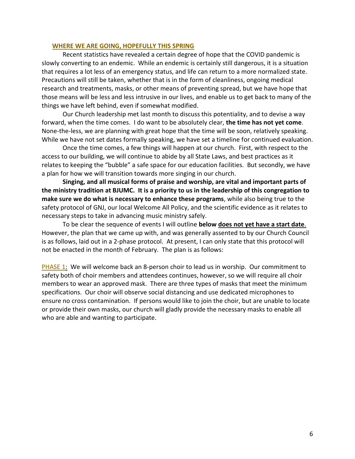#### **WHERE WE ARE GOING, HOPEFULLY THIS SPRING**

Recent statistics have revealed a certain degree of hope that the COVID pandemic is slowly converting to an endemic. While an endemic is certainly still dangerous, it is a situation that requires a lot less of an emergency status, and life can return to a more normalized state. Precautions will still be taken, whether that is in the form of cleanliness, ongoing medical research and treatments, masks, or other means of preventing spread, but we have hope that those means will be less and less intrusive in our lives, and enable us to get back to many of the things we have left behind, even if somewhat modified.

Our Church leadership met last month to discuss this potentiality, and to devise a way forward, when the time comes. I do want to be absolutely clear, **the time has not yet come**. None-the-less, we are planning with great hope that the time will be soon, relatively speaking. While we have not set dates formally speaking, we have set a timeline for continued evaluation.

Once the time comes, a few things will happen at our church. First, with respect to the access to our building, we will continue to abide by all State Laws, and best practices as it relates to keeping the "bubble" a safe space for our education facilities. But secondly, we have a plan for how we will transition towards more singing in our church.

**Singing, and all musical forms of praise and worship, are vital and important parts of the ministry tradition at BJUMC. It is a priority to us in the leadership of this congregation to make sure we do what is necessary to enhance these programs**, while also being true to the safety protocol of GNJ, our local Welcome All Policy, and the scientific evidence as it relates to necessary steps to take in advancing music ministry safely.

To be clear the sequence of events I will outline **below does not yet have a start date**. However, the plan that we came up with, and was generally assented to by our Church Council is as follows, laid out in a 2-phase protocol. At present, I can only state that this protocol will not be enacted in the month of February. The plan is as follows:

**PHASE 1:** We will welcome back an 8-person choir to lead us in worship. Our commitment to safety both of choir members and attendees continues, however, so we will require all choir members to wear an approved mask. There are three types of masks that meet the minimum specifications. Our choir will observe social distancing and use dedicated microphones to ensure no cross contamination. If persons would like to join the choir, but are unable to locate or provide their own masks, our church will gladly provide the necessary masks to enable all who are able and wanting to participate.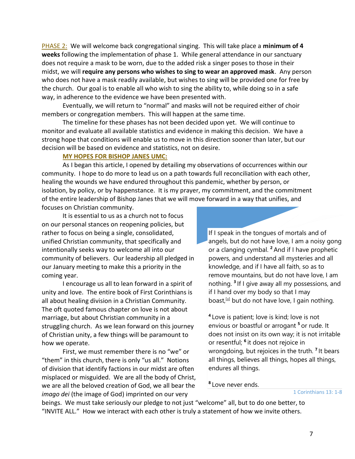PHASE 2: We will welcome back congregational singing. This will take place a **minimum of 4 weeks** following the implementation of phase 1. While general attendance in our sanctuary does not require a mask to be worn, due to the added risk a singer poses to those in their midst, we will **require any persons who wishes to sing to wear an approved mask**. Any person who does not have a mask readily available, but wishes to sing will be provided one for free by the church. Our goal is to enable all who wish to sing the ability to, while doing so in a safe way, in adherence to the evidence we have been presented with.

Eventually, we will return to "normal" and masks will not be required either of choir members or congregation members. This will happen at the same time.

The timeline for these phases has not been decided upon yet. We will continue to monitor and evaluate all available statistics and evidence in making this decision. We have a strong hope that conditions will enable us to move in this direction sooner than later, but our decision will be based on evidence and statistics, not on desire.

#### **MY HOPES FOR BISHOP JANES UMC:**

As I began this article, I opened by detailing my observations of occurrences within our community. I hope to do more to lead us on a path towards full reconciliation with each other, healing the wounds we have endured throughout this pandemic, whether by person, or isolation, by policy, or by happenstance. It is my prayer, my commitment, and the commitment of the entire leadership of Bishop Janes that we will move forward in a way that unifies, and focuses on Christian community.

It is essential to us as a church not to focus on our personal stances on reopening policies, but rather to focus on being a single, consolidated, unified Christian community, that specifically and intentionally seeks way to welcome all into our community of believers. Our leadership all pledged in our January meeting to make this a priority in the coming year.

I encourage us all to lean forward in a spirit of unity and love. The entire book of First Corinthians is all about healing division in a Christian Community. The oft quoted famous chapter on love is not about marriage, but about Christian community in a struggling church. As we lean forward on this journey of Christian unity, a few things will be paramount to how we operate.

First, we must remember there is no "we" or "them" in this church, there is only "us all." Notions of division that identify factions in our midst are often misplaced or misguided. We are all the body of Christ, we are all the beloved creation of God, we all bear the *imago dei* (the image of God) imprinted on our very

If I speak in the tongues of mortals and of angels, but do not have love, I am a noisy gong or a clanging cymbal. **<sup>2</sup>** And if I have prophetic powers, and understand all mysteries and all knowledge, and if I have all faith, so as to remove mountains, but do not have love, I am nothing. **<sup>3</sup>** If I give away all my possessions, and if I hand over my body so that I may boast,  $[$ a] but do not have love, I gain nothing.

**4** Love is patient; love is kind; love is not envious or boastful or arrogant **<sup>5</sup>** or rude. It does not insist on its own way; it is not irritable or resentful; **<sup>6</sup>** it does not rejoice in wrongdoing, but rejoices in the truth. **<sup>7</sup>** It bears all things, believes all things, hopes all things, endures all things.

**8** Love never ends.

1 Corinthians 13: 1-8

beings. We must take seriously our pledge to not just "welcome" all, but to do one better, to "INVITE ALL." How we interact with each other is truly a statement of how we invite others.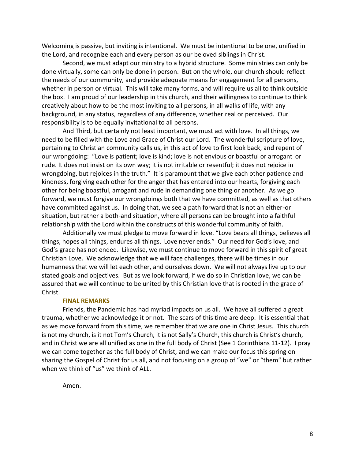Welcoming is passive, but inviting is intentional. We must be intentional to be one, unified in the Lord, and recognize each and every person as our beloved siblings in Christ.

Second, we must adapt our ministry to a hybrid structure. Some ministries can only be done virtually, some can only be done in person. But on the whole, our church should reflect the needs of our community, and provide adequate means for engagement for all persons, whether in person or virtual. This will take many forms, and will require us all to think outside the box. I am proud of our leadership in this church, and their willingness to continue to think creatively about how to be the most inviting to all persons, in all walks of life, with any background, in any status, regardless of any difference, whether real or perceived. Our responsibility is to be equally invitational to all persons.

And Third, but certainly not least important, we must act with love. In all things, we need to be filled with the Love and Grace of Christ our Lord. The wonderful scripture of love, pertaining to Christian community calls us, in this act of love to first look back, and repent of our wrongdoing: "Love is patient; love is kind; love is not envious or boastful or arrogant or rude. It does not insist on its own way; it is not irritable or resentful; it does not rejoice in wrongdoing, but rejoices in the truth." It is paramount that we give each other patience and kindness, forgiving each other for the anger that has entered into our hearts, forgiving each other for being boastful, arrogant and rude in demanding one thing or another. As we go forward, we must forgive our wrongdoings both that we have committed, as well as that others have committed against us. In doing that, we see a path forward that is not an either-or situation, but rather a both-and situation, where all persons can be brought into a faithful relationship with the Lord within the constructs of this wonderful community of faith.

Additionally we must pledge to move forward in love. "Love bears all things, believes all things, hopes all things, endures all things. Love never ends." Our need for God's love, and God's grace has not ended. Likewise, we must continue to move forward in this spirit of great Christian Love. We acknowledge that we will face challenges, there will be times in our humanness that we will let each other, and ourselves down. We will not always live up to our stated goals and objectives. But as we look forward, if we do so in Christian love, we can be assured that we will continue to be united by this Christian love that is rooted in the grace of Christ.

#### **FINAL REMARKS**

Friends, the Pandemic has had myriad impacts on us all. We have all suffered a great trauma, whether we acknowledge it or not. The scars of this time are deep. It is essential that as we move forward from this time, we remember that we are one in Christ Jesus. This church is not my church, is it not Tom's Church, it is not Sally's Church, this church is Christ's church, and in Christ we are all unified as one in the full body of Christ (See 1 Corinthians 11-12). I pray we can come together as the full body of Christ, and we can make our focus this spring on sharing the Gospel of Christ for us all, and not focusing on a group of "we" or "them" but rather when we think of "us" we think of ALL.

Amen.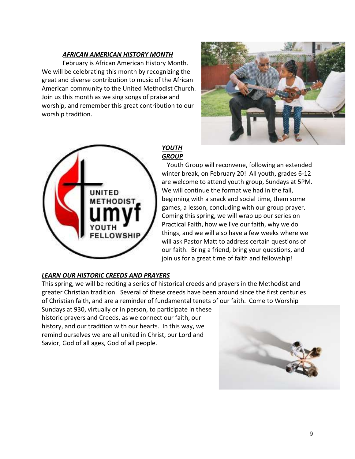#### *AFRICAN AMERICAN HISTORY MONTH*

February is African American History Month. We will be celebrating this month by recognizing the great and diverse contribution to music of the African American community to the United Methodist Church. Join us this month as we sing songs of praise and worship, and remember this great contribution to our worship tradition.





#### *YOUTH GROUP*

Youth Group will reconvene, following an extended winter break, on February 20! All youth, grades 6-12 are welcome to attend youth group, Sundays at 5PM. We will continue the format we had in the fall, beginning with a snack and social time, them some games, a lesson, concluding with our group prayer. Coming this spring, we will wrap up our series on Practical Faith, how we live our faith, why we do things, and we will also have a few weeks where we will ask Pastor Matt to address certain questions of our faith. Bring a friend, bring your questions, and join us for a great time of faith and fellowship!

#### *LEARN OUR HISTORIC CREEDS AND PRAYERS*

This spring, we will be reciting a series of historical creeds and prayers in the Methodist and greater Christian tradition. Several of these creeds have been around since the first centuries of Christian faith, and are a reminder of fundamental tenets of our faith. Come to Worship

Sundays at 930, virtually or in person, to participate in these historic prayers and Creeds, as we connect our faith, our history, and our tradition with our hearts. In this way, we remind ourselves we are all united in Christ, our Lord and Savior, God of all ages, God of all people.

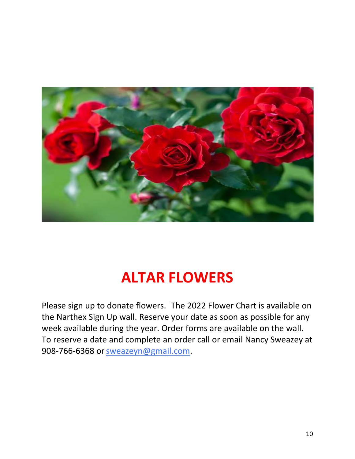

# **ALTAR FLOWERS**

Please sign up to donate flowers. The 2022 Flower Chart is available on the Narthex Sign Up wall. Reserve your date as soon as possible for any week available during the year. Order forms are available on the wall. To reserve a date and complete an order call or email Nancy Sweazey at 908-766-6368 or [sweazeyn@gmail.com.](mailto:sweazeyn@gmail.com)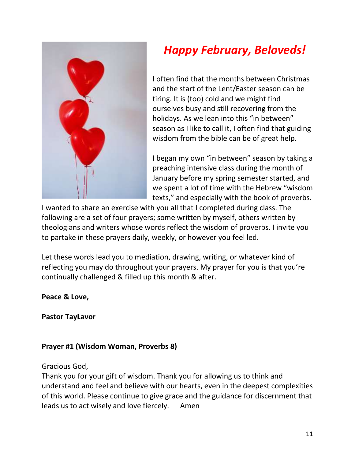

# *Happy February, Beloveds!*

I often find that the months between Christmas and the start of the Lent/Easter season can be tiring. It is (too) cold and we might find ourselves busy and still recovering from the holidays. As we lean into this "in between" season as I like to call it, I often find that guiding wisdom from the bible can be of great help.

I began my own "in between" season by taking a preaching intensive class during the month of January before my spring semester started, and we spent a lot of time with the Hebrew "wisdom texts," and especially with the book of proverbs.

I wanted to share an exercise with you all that I completed during class. The following are a set of four prayers; some written by myself, others written by theologians and writers whose words reflect the wisdom of proverbs. I invite you to partake in these prayers daily, weekly, or however you feel led.

Let these words lead you to mediation, drawing, writing, or whatever kind of reflecting you may do throughout your prayers. My prayer for you is that you're continually challenged & filled up this month & after.

### **Peace & Love,**

**Pastor TayLavor** 

### **Prayer #1 (Wisdom Woman, Proverbs 8)**

Gracious God,

Thank you for your gift of wisdom. Thank you for allowing us to think and understand and feel and believe with our hearts, even in the deepest complexities of this world. Please continue to give grace and the guidance for discernment that leads us to act wisely and love fiercely. Amen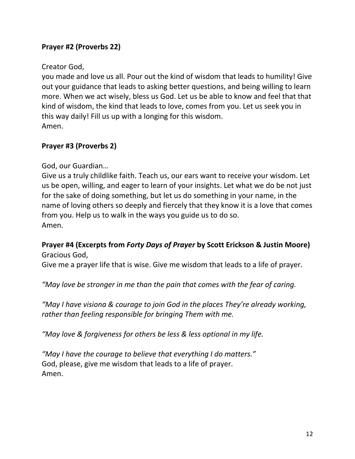### **Prayer #2 (Proverbs 22)**

#### Creator God,

you made and love us all. Pour out the kind of wisdom that leads to humility! Give out your guidance that leads to asking better questions, and being willing to learn more. When we act wisely, bless us God. Let us be able to know and feel that that kind of wisdom, the kind that leads to love, comes from you. Let us seek you in this way daily! Fill us up with a longing for this wisdom. Amen.

#### **Prayer #3 (Proverbs 2)**

God, our Guardian…

Give us a truly childlike faith. Teach us, our ears want to receive your wisdom. Let us be open, willing, and eager to learn of your insights. Let what we do be not just for the sake of doing something, but let us do something in your name, in the name of loving others so deeply and fiercely that they know it is a love that comes from you. Help us to walk in the ways you guide us to do so. Amen.

#### **Prayer #4 (Excerpts from** *Forty Days of Prayer* **by Scott Erickson & Justin Moore)** Gracious God,

Give me a prayer life that is wise. Give me wisdom that leads to a life of prayer.

*"May love be stronger in me than the pain that comes with the fear of caring.*

*"May I have visiona & courage to join God in the places They're already working, rather than feeling responsible for bringing Them with me.*

*"May love & forgiveness for others be less & less optional in my life.*

*"May I have the courage to believe that everything I do matters."* God, please, give me wisdom that leads to a life of prayer. Amen.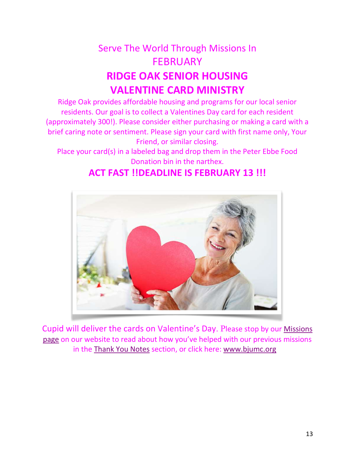## Serve The World Through Missions In **FEBRUARY RIDGE OAK SENIOR HOUSING VALENTINE CARD MINISTRY**

Ridge Oak provides affordable housing and programs for our local senior residents. Our goal is to collect a Valentines Day card for each resident (approximately 300!). Please consider either purchasing or making a card with a brief caring note or sentiment. Please sign your card with first name only, Your Friend, or similar closing.

Place your card(s) in a labeled bag and drop them in the Peter Ebbe Food Donation bin in the narthex.

### **ACT FAST !!DEADLINE IS FEBRUARY 13 !!!**



Cupid will deliver the cards on Valentine's Day. Please stop by our [Missions](https://www.bjumc.org/serve-the-world)  [page](https://www.bjumc.org/serve-the-world) on our website to read about how you've helped with our previous missions in the [Thank You Notes](https://www.bjumc.org/thank-you) section, or click here: [www.bjumc.org](http://www.bjumc.org/)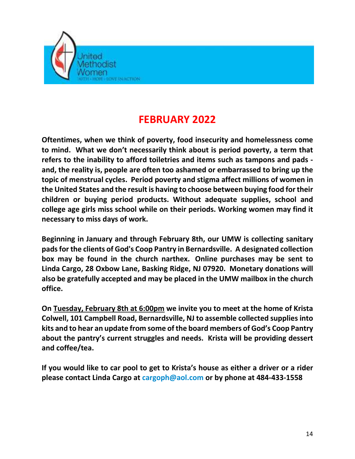

## **FEBRUARY 2022**

**Oftentimes, when we think of poverty, food insecurity and homelessness come to mind. What we don't necessarily think about is period poverty, a term that refers to the inability to afford toiletries and items such as tampons and pads and, the reality is, people are often too ashamed or embarrassed to bring up the topic of menstrual cycles. Period poverty and stigma affect millions of women in the United States and the result is having to choose between buying food fortheir children or buying period products. Without adequate supplies, school and college age girls miss school while on their periods. Working women may find it necessary to miss days of work.**

**Beginning in January and through February 8th, our UMW is collecting sanitary padsfor the clients of God's Coop Pantry in Bernardsville. A designated collection box may be found in the church narthex. Online purchases may be sent to Linda Cargo, 28 Oxbow Lane, Basking Ridge, NJ 07920. Monetary donations will also be gratefully accepted and may be placed in the UMW mailbox in the church office.**

**On Tuesday, February 8th at 6:00pm we invite you to meet at the home of Krista Colwell, 101 Campbell Road, Bernardsville, NJ to assemble collected supplies into kits and to hear an update from some ofthe board members of God's Coop Pantry about the pantry's current struggles and needs. Krista will be providing dessert and coffee/tea.** 

**If you would like to car pool to get to Krista's house as either a driver or a rider please contact Linda Cargo at [cargoph@aol.com](mailto:cargoph@aol.com) or by phone at 484-433-1558**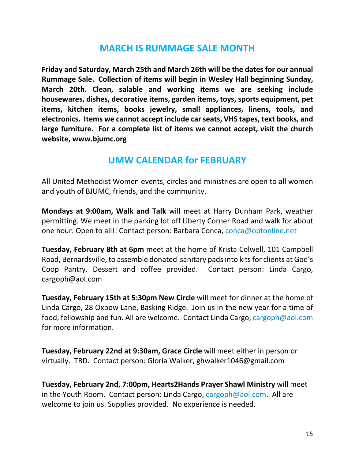### **MARCH IS RUMMAGE SALE MONTH**

**Friday and Saturday, March 25th and March 26th will be the dates for our annual Rummage Sale. Collection of items will begin in Wesley Hall beginning Sunday, March 20th. Clean, salable and working items we are seeking include housewares, dishes, decorative items, garden items, toys, sports equipment, pet items, kitchen items, books jewelry, small appliances, linens, tools, and electronics. Items we cannot accept include carseats, VHS tapes, text books, and large furniture. For a complete list of items we cannot accept, visit the church website, www.bjumc.org**

### **UMW CALENDAR for FEBRUARY**

All United Methodist Women events, circles and ministries are open to all women and youth of BJUMC, friends, and the community.

**Mondays at 9:00am, Walk and Talk** will meet at Harry Dunham Park, weather permitting. We meet in the parking lot off Liberty Corner Road and walk for about one hour. Open to all!! Contact person: Barbara Conca, [conca@optonline.net](mailto:conca@optonline.net)

**Tuesday, February 8th at 6pm** meet at the home of Krista Colwell, 101 Campbell Road, Bernardsville, to assemble donated sanitary padsinto kitsfor clients at God's Coop Pantry. Dessert and coffee provided. Contact person: Linda Cargo, [cargoph@aol.com](mailto:cargoph@aol.com)

**Tuesday, February 15th at 5:30pm New Circle** will meet for dinner at the home of Linda Cargo, 28 Oxbow Lane, Basking Ridge. Join us in the new year for a time of food, fellowship and fun. All are welcome. Contact Linda Cargo, [cargoph@aol.com](mailto:cargoph@aol.com) for more information.

**Tuesday, February 22nd at 9:30am, Grace Circle** will meet either in person or virtually. TBD. Contact person: Gloria Walker, [ghwalker1046@gmail.com](mailto:ghwalker1046@gmail.com)

**Tuesday, February 2nd, 7:00pm, Hearts2Hands Prayer Shawl Ministry** will meet in the Youth Room. Contact person: Linda Cargo, [cargoph@aol.com.](mailto:cargoph@aol.com) All are welcome to join us. Supplies provided. No experience is needed.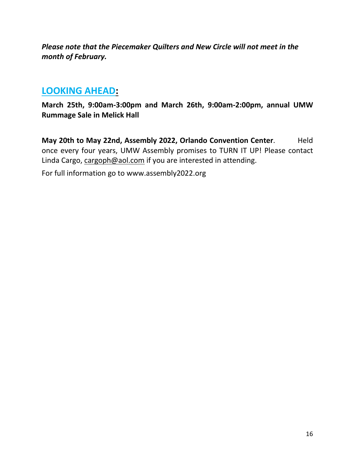*Please note that the Piecemaker Quilters and New Circle will not meet in the month of February.*

### **LOOKING AHEAD:**

**March 25th, 9:00am-3:00pm and March 26th, 9:00am-2:00pm, annual UMW Rummage Sale in Melick Hall**

**May 20th to May 22nd, Assembly 2022, Orlando Convention Center**. Held once every four years, UMW Assembly promises to TURN IT UP! Please contact Linda Cargo, [cargoph@aol.com](mailto:cargoph@aol.com) if you are interested in attending.

For full information go to www.assembly2022.org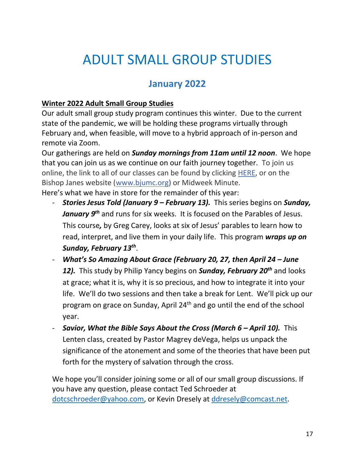# ADULT SMALL GROUP STUDIES

## **January 2022**

### **Winter 2022 Adult Small Group Studies**

Our adult small group study program continues this winter. Due to the current state of the pandemic, we will be holding these programs virtually through February and, when feasible, will move to a hybrid approach of in-person and remote via Zoom.

Our gatherings are held on *Sunday mornings from 11am until 12 noon*. We hope that you can join us as we continue on our faith journey together. To join us online, the link to all of our classes can be found by clicking [HERE,](https://r20.rs6.net/tn.jsp?f=001boll5hhlhdC84E8uMEE_DpRahcIHlSoKBOKW7MyunncByFXxaSoJewRTCDcGPr3FyscDGVlwNVXRpI31nizj40Jl0-cUO72b8Iuh3wkqxyyNbCy4OVz97l7END9iFfpnAA284dWcyZkNfCp3sc0ZwmGKwl6U1vf_0tMxxC2j7l1M_TtHiBgdKRLc0c3jIbDldA802g8zmMGDSAzF-lsMpklTHCpWQ8d_&c=FnOc5gK6Js_jAa76RMb__gQHrtqZZwhynDBgfBs7LZr-DQ3RCucF2Q==&ch=vCUNf3rR6MKhsWukfdvwETGqWd8j0j-eAeeuj8mIDrv_3ECi79a38w==) or on the Bishop Janes website [\(www.bjumc.org\)](http://www.bjumc.org/) or Midweek Minute.

Here's what we have in store for the remainder of this year:

- *Stories Jesus Told (January 9 – February 13).* This series begins on *Sunday, January 9th* and runs for six weeks. It is focused on the Parables of Jesus. This course*,* by Greg Carey, looks at six of Jesus' parables to learn how to read, interpret, and live them in your daily life. This program *wraps up on Sunday, February 13th* .
- *What's So Amazing About Grace (February 20, 27, then April 24 – June 12).* This study by Philip Yancy begins on *Sunday, February 20th* and looks at grace; what it is, why it is so precious, and how to integrate it into your life. We'll do two sessions and then take a break for Lent. We'll pick up our program on grace on Sunday, April 24th and go until the end of the school year.
- *Savior, What the Bible Says About the Cross (March 6 – April 10).* This Lenten class, created by Pastor Magrey deVega, helps us unpack the significance of the atonement and some of the theories that have been put forth for the mystery of salvation through the cross.

We hope you'll consider joining some or all of our small group discussions. If you have any question, please contact Ted Schroeder at [dotcschroeder@yahoo.com,](mailto:dotcschroeder@yahoo.com) or Kevin Dresely at [ddresely@comcast.net.](mailto:ddresely@comcast.net)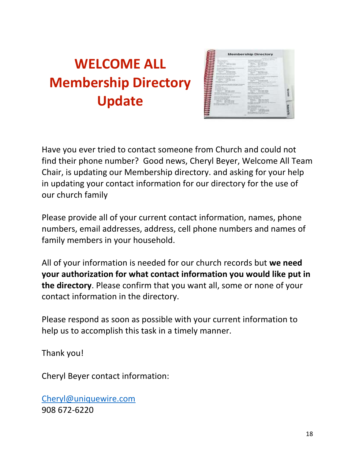# **WELCOME ALL Membership Directory Update**

| <b>Service Advised</b><br>----<br>of the dealership<br>Analysis, String<br>of the property<br>$-1/2$<br><b>Contract Contract</b>                                                                                                                                                                                                                                       |                                                                                                                                                                                                                                                                                                                                                                                                 | <b>CONTRACTOR</b><br>the property company and the<br>$-$<br>and the company of the first<br>oe<br>a structure of the first<br>The County<br>$-1$<br>www.communication.com<br>and all company is strike<br>and some than the party<br>accepts construction of<br>detailed at the Contractor of<br>Art Scotter 1.1<br>moneyed the manuals of                                                                                                                                                                                                                                                                                                                                                               |  |
|------------------------------------------------------------------------------------------------------------------------------------------------------------------------------------------------------------------------------------------------------------------------------------------------------------------------------------------------------------------------|-------------------------------------------------------------------------------------------------------------------------------------------------------------------------------------------------------------------------------------------------------------------------------------------------------------------------------------------------------------------------------------------------|----------------------------------------------------------------------------------------------------------------------------------------------------------------------------------------------------------------------------------------------------------------------------------------------------------------------------------------------------------------------------------------------------------------------------------------------------------------------------------------------------------------------------------------------------------------------------------------------------------------------------------------------------------------------------------------------------------|--|
| <b>Contractor</b><br>the attended the handship<br>the property of the property of<br>discussion of the course.<br>and the control of the product of the<br>Analysis and when Princess.<br>able advanced developed in court 11.<br>an expert of posterior registration and<br>and the country of the co-<br>17. Three Roads ages 111<br>and the state of the field of a | and the property states and<br>Lost Contemporary and the Holey Control<br>the committee by twenty the<br>$-200$<br>Southern Robert and America, Andrew Aren<br>Constitution of the format market and was changed<br>Star Million of the American<br>Thomas - Allin Alla Allin<br><b>SECTION REPORT</b><br>British County and American County and the American<br>Shipman - ships shall children | <u>, and eng</u><br>and considered to the print of the local<br>The country of the country of the country<br>A direct that postered to detailed<br><b>The Tunner</b><br>tioned democrating. Furnished Print,<br>Copyright Continued and Copyright Control of<br>the air comments as a first state<br>_____<br>arter was a tracked<br><b>Staglinghold Controller Controller</b><br>the property of the control of the control of<br>the party of the property state of the property<br>the party of the party and the<br>There III BEEN<br>and company the next in Chinesens<br>the R. Commercials Advised Stratification of Colorado<br>the product of the control of the control of<br><b>The Brown</b> |  |
| ē<br>the time and chancer that the con-                                                                                                                                                                                                                                                                                                                                | common. which have been<br>the property of the control of the<br>Secondary and State And State                                                                                                                                                                                                                                                                                                  | <b>Controller Controller Controller Controller</b><br>the fact of the state state.<br>and the property of the con-<br>the factory design to<br>the age of the local competition of the property<br>and printed as Law  It is<br>- Wranger - Exil \$300 from<br>The party of the control of the first<br>dealer demonstrated and production.                                                                                                                                                                                                                                                                                                                                                              |  |

Have you ever tried to contact someone from Church and could not find their phone number? Good news, Cheryl Beyer, Welcome All Team Chair, is updating our Membership directory. and asking for your help in updating your contact information for our directory for the use of our church family

Please provide all of your current contact information, names, phone numbers, email addresses, address, cell phone numbers and names of family members in your household.

All of your information is needed for our church records but **we need your authorization for what contact information you would like put in the directory**. Please confirm that you want all, some or none of your contact information in the directory.

Please respond as soon as possible with your current information to help us to accomplish this task in a timely manner.

Thank you!

Cheryl Beyer contact information:

[Cheryl@uniquewire.com](mailto:Cheryl@uniquewire.com) 908 672-6220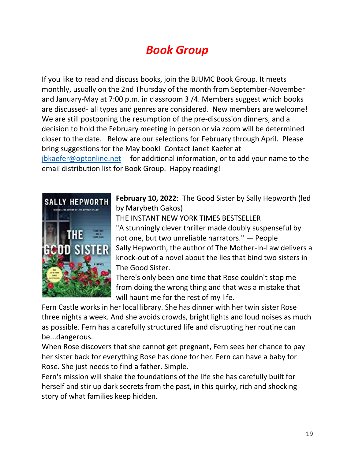## *Book Group*

If you like to read and discuss books, join the BJUMC Book Group. It meets monthly, usually on the 2nd Thursday of the month from September-November and January-May at 7:00 p.m. in classroom 3 /4. Members suggest which books are discussed- all types and genres are considered. New members are welcome! We are still postponing the resumption of the pre-discussion dinners, and a decision to hold the February meeting in person or via zoom will be determined closer to the date. Below are our selections for February through April. Please bring suggestions for the May book! Contact Janet Kaefer at [jbkaefer@optonline.net](mailto:jbkaefer@optonline.net) for additional information, or to add your name to the email distribution list for Book Group. Happy reading!



**February 10, 2022**: The Good Sister by Sally Hepworth (led by Marybeth Gakos)

THE INSTANT NEW YORK TIMES BESTSELLER "A stunningly clever thriller made doubly suspenseful by not one, but two unreliable narrators." ― People Sally Hepworth, the author of The Mother-In-Law delivers a knock-out of a novel about the lies that bind two sisters in The Good Sister.

There's only been one time that Rose couldn't stop me from doing the wrong thing and that was a mistake that will haunt me for the rest of my life.

Fern Castle works in her local library. She has dinner with her twin sister Rose three nights a week. And she avoids crowds, bright lights and loud noises as much as possible. Fern has a carefully structured life and disrupting her routine can be...dangerous.

When Rose discovers that she cannot get pregnant, Fern sees her chance to pay her sister back for everything Rose has done for her. Fern can have a baby for Rose. She just needs to find a father. Simple.

Fern's mission will shake the foundations of the life she has carefully built for herself and stir up dark secrets from the past, in this quirky, rich and shocking story of what families keep hidden.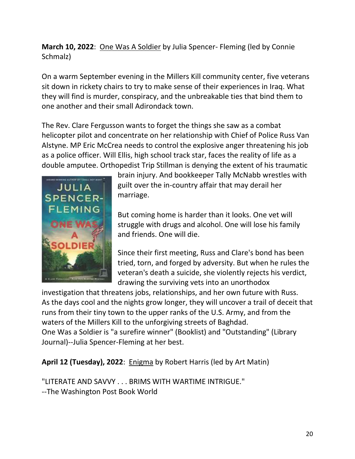**March 10, 2022**: One Was A Soldier by Julia Spencer- Fleming (led by Connie Schmalz)

On a warm September evening in the Millers Kill community center, five veterans sit down in rickety chairs to try to make sense of their experiences in Iraq. What they will find is murder, conspiracy, and the unbreakable ties that bind them to one another and their small Adirondack town.

The Rev. Clare Fergusson wants to forget the things she saw as a combat helicopter pilot and concentrate on her relationship with Chief of Police Russ Van Alstyne. MP Eric McCrea needs to control the explosive anger threatening his job as a police officer. Will Ellis, high school track star, faces the reality of life as a double amputee. Orthopedist Trip Stillman is denying the extent of his traumatic



brain injury. And bookkeeper Tally McNabb wrestles with guilt over the in-country affair that may derail her marriage.

But coming home is harder than it looks. One vet will struggle with drugs and alcohol. One will lose his family and friends. One will die.

Since their first meeting, Russ and Clare's bond has been tried, torn, and forged by adversity. But when he rules the veteran's death a suicide, she violently rejects his verdict, drawing the surviving vets into an unorthodox

investigation that threatens jobs, relationships, and her own future with Russ. As the days cool and the nights grow longer, they will uncover a trail of deceit that runs from their tiny town to the upper ranks of the U.S. Army, and from the waters of the Millers Kill to the unforgiving streets of Baghdad. One Was a Soldier is "a surefire winner" (Booklist) and "Outstanding" (Library Journal)--Julia Spencer-Fleming at her best.

**April 12 (Tuesday), 2022**: Enigma by Robert Harris (led by Art Matin)

"LITERATE AND SAVVY . . . BRIMS WITH WARTIME INTRIGUE." --The Washington Post Book World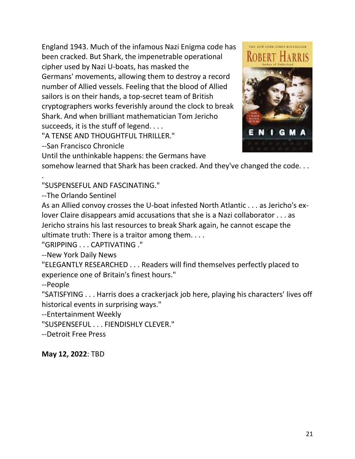England 1943. Much of the infamous Nazi Enigma code has been cracked. But Shark, the impenetrable operational cipher used by Nazi U-boats, has masked the Germans' movements, allowing them to destroy a record number of Allied vessels. Feeling that the blood of Allied sailors is on their hands, a top-secret team of British cryptographers works feverishly around the clock to break Shark. And when brilliant mathematician Tom Jericho succeeds, it is the stuff of legend. . . .

"A TENSE AND THOUGHTFUL THRILLER."

--San Francisco Chronicle

Until the unthinkable happens: the Germans have

somehow learned that Shark has been cracked. And they've changed the code. . .

. "SUSPENSEFUL AND FASCINATING."

--The Orlando Sentinel

As an Allied convoy crosses the U-boat infested North Atlantic . . . as Jericho's exlover Claire disappears amid accusations that she is a Nazi collaborator . . . as Jericho strains his last resources to break Shark again, he cannot escape the ultimate truth: There is a traitor among them. . . .

"GRIPPING . . . CAPTIVATING ."

--New York Daily News

"ELEGANTLY RESEARCHED . . . Readers will find themselves perfectly placed to experience one of Britain's finest hours."

--People

"SATISFYING . . . Harris does a crackerjack job here, playing his characters' lives off historical events in surprising ways."

--Entertainment Weekly

"SUSPENSEFUL . . . FIENDISHLY CLEVER."

--Detroit Free Press

**May 12, 2022**: TBD



THE NEW YORK TIMES BESTSELLER

I G M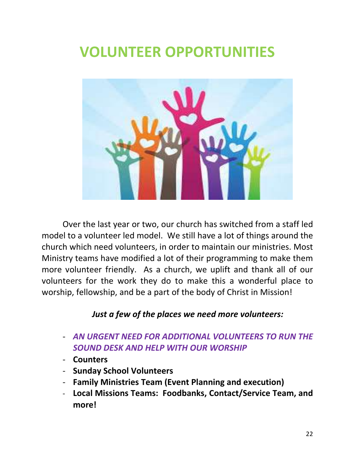# **VOLUNTEER OPPORTUNITIES**



Over the last year or two, our church has switched from a staff led model to a volunteer led model. We still have a lot of things around the church which need volunteers, in order to maintain our ministries. Most Ministry teams have modified a lot of their programming to make them more volunteer friendly. As a church, we uplift and thank all of our volunteers for the work they do to make this a wonderful place to worship, fellowship, and be a part of the body of Christ in Mission!

### *Just a few of the places we need more volunteers:*

- *AN URGENT NEED FOR ADDITIONAL VOLUNTEERS TO RUN THE SOUND DESK AND HELP WITH OUR WORSHIP*
- **Counters**
- **Sunday School Volunteers**
- **Family Ministries Team (Event Planning and execution)**
- **Local Missions Teams: Foodbanks, Contact/Service Team, and more!**